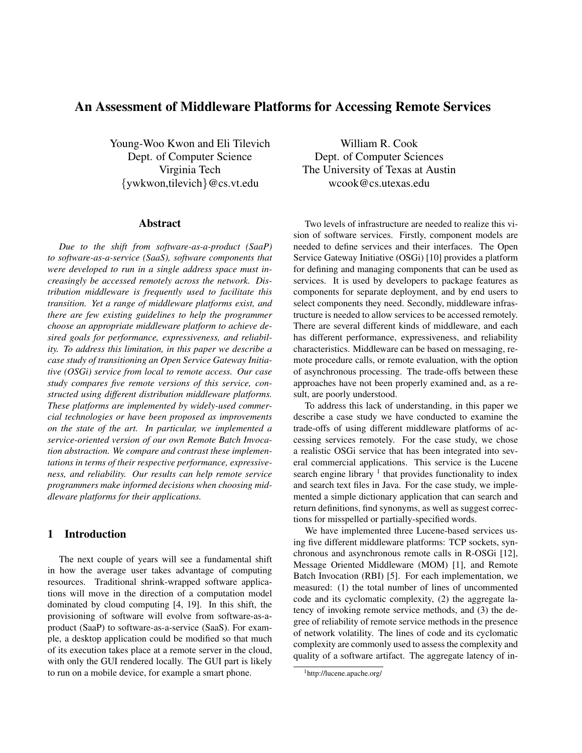# An Assessment of Middleware Platforms for Accessing Remote Services

Young-Woo Kwon and Eli Tilevich Dept. of Computer Science Virginia Tech {ywkwon,tilevich}@cs.vt.edu

#### Abstract

*Due to the shift from software-as-a-product (SaaP) to software-as-a-service (SaaS), software components that were developed to run in a single address space must increasingly be accessed remotely across the network. Distribution middleware is frequently used to facilitate this transition. Yet a range of middleware platforms exist, and there are few existing guidelines to help the programmer choose an appropriate middleware platform to achieve desired goals for performance, expressiveness, and reliability. To address this limitation, in this paper we describe a case study of transitioning an Open Service Gateway Initiative (OSGi) service from local to remote access. Our case study compares five remote versions of this service, constructed using different distribution middleware platforms. These platforms are implemented by widely-used commercial technologies or have been proposed as improvements on the state of the art. In particular, we implemented a service-oriented version of our own Remote Batch Invocation abstraction. We compare and contrast these implementations in terms of their respective performance, expressiveness, and reliability. Our results can help remote service programmers make informed decisions when choosing middleware platforms for their applications.*

### 1 Introduction

The next couple of years will see a fundamental shift in how the average user takes advantage of computing resources. Traditional shrink-wrapped software applications will move in the direction of a computation model dominated by cloud computing [4, 19]. In this shift, the provisioning of software will evolve from software-as-aproduct (SaaP) to software-as-a-service (SaaS). For example, a desktop application could be modified so that much of its execution takes place at a remote server in the cloud, with only the GUI rendered locally. The GUI part is likely to run on a mobile device, for example a smart phone.

William R. Cook Dept. of Computer Sciences The University of Texas at Austin wcook@cs.utexas.edu

Two levels of infrastructure are needed to realize this vision of software services. Firstly, component models are needed to define services and their interfaces. The Open Service Gateway Initiative (OSGi) [10] provides a platform for defining and managing components that can be used as services. It is used by developers to package features as components for separate deployment, and by end users to select components they need. Secondly, middleware infrastructure is needed to allow services to be accessed remotely. There are several different kinds of middleware, and each has different performance, expressiveness, and reliability characteristics. Middleware can be based on messaging, remote procedure calls, or remote evaluation, with the option of asynchronous processing. The trade-offs between these approaches have not been properly examined and, as a result, are poorly understood.

To address this lack of understanding, in this paper we describe a case study we have conducted to examine the trade-offs of using different middleware platforms of accessing services remotely. For the case study, we chose a realistic OSGi service that has been integrated into several commercial applications. This service is the Lucene search engine library  $1$  that provides functionality to index and search text files in Java. For the case study, we implemented a simple dictionary application that can search and return definitions, find synonyms, as well as suggest corrections for misspelled or partially-specified words.

We have implemented three Lucene-based services using five different middleware platforms: TCP sockets, synchronous and asynchronous remote calls in R-OSGi [12], Message Oriented Middleware (MOM) [1], and Remote Batch Invocation (RBI) [5]. For each implementation, we measured: (1) the total number of lines of uncommented code and its cyclomatic complexity, (2) the aggregate latency of invoking remote service methods, and (3) the degree of reliability of remote service methods in the presence of network volatility. The lines of code and its cyclomatic complexity are commonly used to assess the complexity and quality of a software artifact. The aggregate latency of in-

<sup>1</sup>http://lucene.apache.org/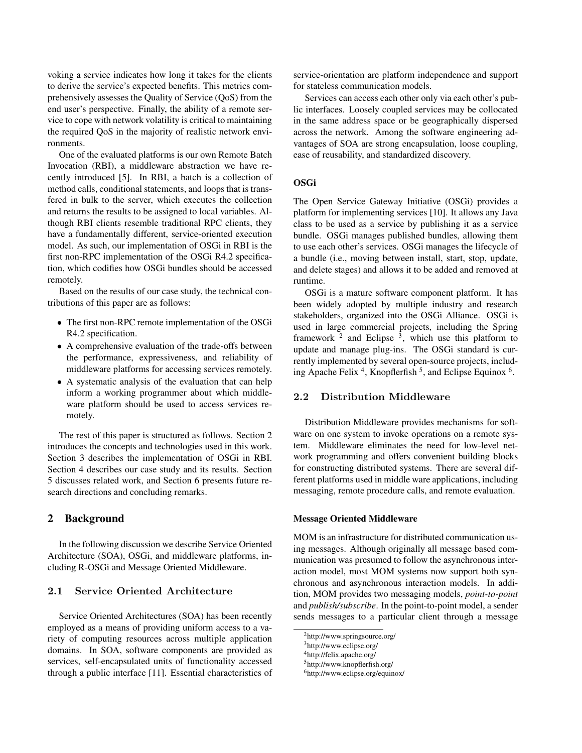voking a service indicates how long it takes for the clients to derive the service's expected benefits. This metrics comprehensively assesses the Quality of Service (QoS) from the end user's perspective. Finally, the ability of a remote service to cope with network volatility is critical to maintaining the required QoS in the majority of realistic network environments.

One of the evaluated platforms is our own Remote Batch Invocation (RBI), a middleware abstraction we have recently introduced [5]. In RBI, a batch is a collection of method calls, conditional statements, and loops that is transfered in bulk to the server, which executes the collection and returns the results to be assigned to local variables. Although RBI clients resemble traditional RPC clients, they have a fundamentally different, service-oriented execution model. As such, our implementation of OSGi in RBI is the first non-RPC implementation of the OSGi R4.2 specification, which codifies how OSGi bundles should be accessed remotely.

Based on the results of our case study, the technical contributions of this paper are as follows:

- The first non-RPC remote implementation of the OSGi R4.2 specification.
- A comprehensive evaluation of the trade-offs between the performance, expressiveness, and reliability of middleware platforms for accessing services remotely.
- A systematic analysis of the evaluation that can help inform a working programmer about which middleware platform should be used to access services remotely.

The rest of this paper is structured as follows. Section 2 introduces the concepts and technologies used in this work. Section 3 describes the implementation of OSGi in RBI. Section 4 describes our case study and its results. Section 5 discusses related work, and Section 6 presents future research directions and concluding remarks.

#### 2 Background

In the following discussion we describe Service Oriented Architecture (SOA), OSGi, and middleware platforms, including R-OSGi and Message Oriented Middleware.

#### 2.1 Service Oriented Architecture

Service Oriented Architectures (SOA) has been recently employed as a means of providing uniform access to a variety of computing resources across multiple application domains. In SOA, software components are provided as services, self-encapsulated units of functionality accessed through a public interface [11]. Essential characteristics of service-orientation are platform independence and support for stateless communication models.

Services can access each other only via each other's public interfaces. Loosely coupled services may be collocated in the same address space or be geographically dispersed across the network. Among the software engineering advantages of SOA are strong encapsulation, loose coupling, ease of reusability, and standardized discovery.

#### OSGi

The Open Service Gateway Initiative (OSGi) provides a platform for implementing services [10]. It allows any Java class to be used as a service by publishing it as a service bundle. OSGi manages published bundles, allowing them to use each other's services. OSGi manages the lifecycle of a bundle (i.e., moving between install, start, stop, update, and delete stages) and allows it to be added and removed at runtime.

OSGi is a mature software component platform. It has been widely adopted by multiple industry and research stakeholders, organized into the OSGi Alliance. OSGi is used in large commercial projects, including the Spring framework  $2$  and Eclipse  $3$ , which use this platform to update and manage plug-ins. The OSGi standard is currently implemented by several open-source projects, including Apache Felix<sup>4</sup>, Knopflerfish<sup>5</sup>, and Eclipse Equinox<sup>6</sup>.

### 2.2 Distribution Middleware

Distribution Middleware provides mechanisms for software on one system to invoke operations on a remote system. Middleware eliminates the need for low-level network programming and offers convenient building blocks for constructing distributed systems. There are several different platforms used in middle ware applications, including messaging, remote procedure calls, and remote evaluation.

#### Message Oriented Middleware

MOM is an infrastructure for distributed communication using messages. Although originally all message based communication was presumed to follow the asynchronous interaction model, most MOM systems now support both synchronous and asynchronous interaction models. In addition, MOM provides two messaging models, *point-to-point* and *publish/subscribe*. In the point-to-point model, a sender sends messages to a particular client through a message

<sup>2</sup>http://www.springsource.org/

<sup>3</sup>http://www.eclipse.org/

<sup>4</sup>http://felix.apache.org/

<sup>5</sup>http://www.knopflerfish.org/

<sup>6</sup>http://www.eclipse.org/equinox/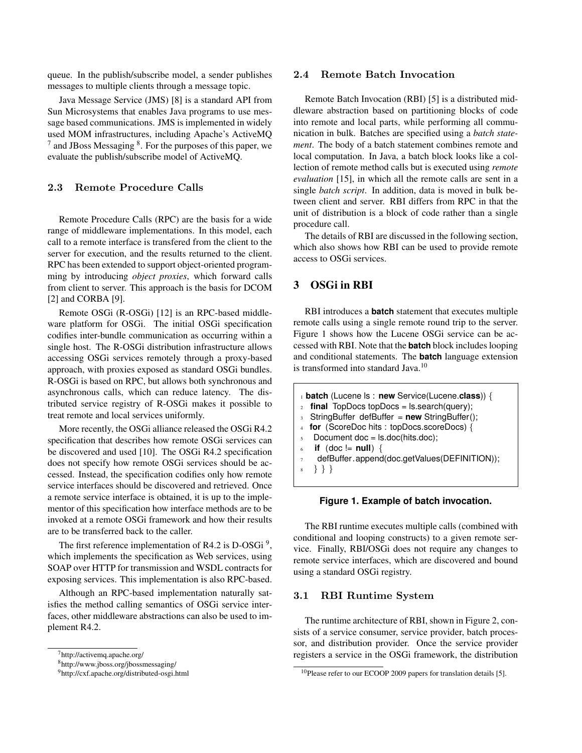queue. In the publish/subscribe model, a sender publishes messages to multiple clients through a message topic.

Java Message Service (JMS) [8] is a standard API from Sun Microsystems that enables Java programs to use message based communications. JMS is implemented in widely used MOM infrastructures, including Apache's ActiveMQ  $<sup>7</sup>$  and JBoss Messaging  $<sup>8</sup>$ . For the purposes of this paper, we</sup></sup> evaluate the publish/subscribe model of ActiveMQ.

### 2.3 Remote Procedure Calls

Remote Procedure Calls (RPC) are the basis for a wide range of middleware implementations. In this model, each call to a remote interface is transfered from the client to the server for execution, and the results returned to the client. RPC has been extended to support object-oriented programming by introducing *object proxies*, which forward calls from client to server. This approach is the basis for DCOM [2] and CORBA [9].

Remote OSGi (R-OSGi) [12] is an RPC-based middleware platform for OSGi. The initial OSGi specification codifies inter-bundle communication as occurring within a single host. The R-OSGi distribution infrastructure allows accessing OSGi services remotely through a proxy-based approach, with proxies exposed as standard OSGi bundles. R-OSGi is based on RPC, but allows both synchronous and asynchronous calls, which can reduce latency. The distributed service registry of R-OSGi makes it possible to treat remote and local services uniformly.

More recently, the OSGi alliance released the OSGi R4.2 specification that describes how remote OSGi services can be discovered and used [10]. The OSGi R4.2 specification does not specify how remote OSGi services should be accessed. Instead, the specification codifies only how remote service interfaces should be discovered and retrieved. Once a remote service interface is obtained, it is up to the implementor of this specification how interface methods are to be invoked at a remote OSGi framework and how their results are to be transferred back to the caller.

The first reference implementation of R4.2 is D-OSGi<sup>9</sup>, which implements the specification as Web services, using SOAP over HTTP for transmission and WSDL contracts for exposing services. This implementation is also RPC-based.

Although an RPC-based implementation naturally satisfies the method calling semantics of OSGi service interfaces, other middleware abstractions can also be used to implement R4.2.

#### 2.4 Remote Batch Invocation

Remote Batch Invocation (RBI) [5] is a distributed middleware abstraction based on partitioning blocks of code into remote and local parts, while performing all communication in bulk. Batches are specified using a *batch statement*. The body of a batch statement combines remote and local computation. In Java, a batch block looks like a collection of remote method calls but is executed using *remote evaluation* [15], in which all the remote calls are sent in a single *batch script*. In addition, data is moved in bulk between client and server. RBI differs from RPC in that the unit of distribution is a block of code rather than a single procedure call.

The details of RBI are discussed in the following section, which also shows how RBI can be used to provide remote access to OSGi services.

### 3 OSGi in RBI

RBI introduces a **batch** statement that executes multiple remote calls using a single remote round trip to the server. Figure 1 shows how the Lucene OSGi service can be accessed with RBI. Note that the **batch** block includes looping and conditional statements. The **batch** language extension is transformed into standard Java.<sup>10</sup>

 **batch** (Lucene ls : **new** Service(Lucene.**class**)) { **final** TopDocs topDocs = ls.search(query); StringBuffer defBuffer = **new** StringBuffer(); **for** (ScoreDoc hits : topDocs.scoreDocs) { Document doc = ls.doc(hits.doc);  $\bullet$  **if** (doc  $\bullet$  **null**) { defBuffer.append(doc.getValues(DEFINITION)); <sup>8</sup> } } }

#### **Figure 1. Example of batch invocation.**

The RBI runtime executes multiple calls (combined with conditional and looping constructs) to a given remote service. Finally, RBI/OSGi does not require any changes to remote service interfaces, which are discovered and bound using a standard OSGi registry.

#### 3.1 RBI Runtime System

The runtime architecture of RBI, shown in Figure 2, consists of a service consumer, service provider, batch processor, and distribution provider. Once the service provider registers a service in the OSGi framework, the distribution

<sup>7</sup>http://activemq.apache.org/

<sup>8</sup>http://www.jboss.org/jbossmessaging/

<sup>9</sup>http://cxf.apache.org/distributed-osgi.html

 $10P$  Please refer to our ECOOP 2009 papers for translation details [5].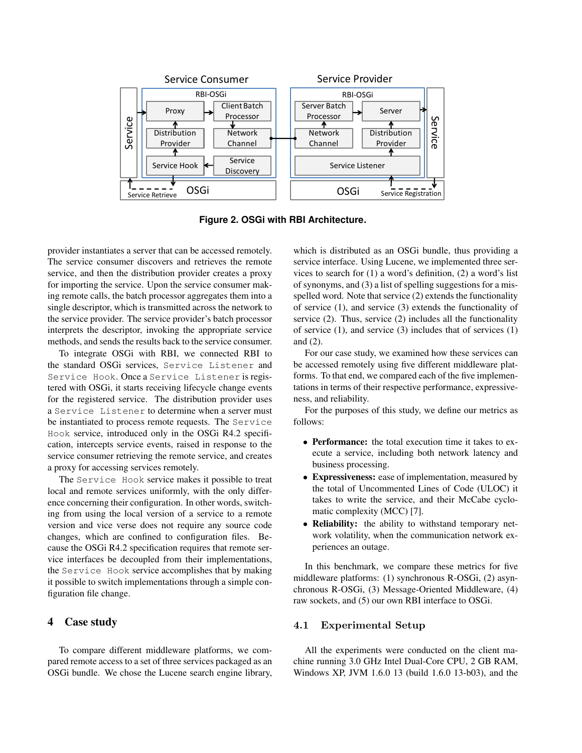

**Figure 2. OSGi with RBI Architecture.**

provider instantiates a server that can be accessed remotely. The service consumer discovers and retrieves the remote service, and then the distribution provider creates a proxy for importing the service. Upon the service consumer making remote calls, the batch processor aggregates them into a single descriptor, which is transmitted across the network to the service provider. The service provider's batch processor interprets the descriptor, invoking the appropriate service methods, and sends the results back to the service consumer.

To integrate OSGi with RBI, we connected RBI to the standard OSGi services, Service Listener and Service Hook. Once a Service Listener is registered with OSGi, it starts receiving lifecycle change events for the registered service. The distribution provider uses a Service Listener to determine when a server must be instantiated to process remote requests. The Service Hook service, introduced only in the OSGi R4.2 specification, intercepts service events, raised in response to the service consumer retrieving the remote service, and creates a proxy for accessing services remotely.

The Service Hook service makes it possible to treat local and remote services uniformly, with the only difference concerning their configuration. In other words, switching from using the local version of a service to a remote version and vice verse does not require any source code changes, which are confined to configuration files. Because the OSGi R4.2 specification requires that remote service interfaces be decoupled from their implementations, the Service Hook service accomplishes that by making it possible to switch implementations through a simple configuration file change.

### 4 Case study

To compare different middleware platforms, we compared remote access to a set of three services packaged as an OSGi bundle. We chose the Lucene search engine library,

which is distributed as an OSGi bundle, thus providing a service interface. Using Lucene, we implemented three services to search for (1) a word's definition, (2) a word's list of synonyms, and (3) a list of spelling suggestions for a misspelled word. Note that service (2) extends the functionality of service (1), and service (3) extends the functionality of service (2). Thus, service (2) includes all the functionality of service  $(1)$ , and service  $(3)$  includes that of services  $(1)$ and (2).

For our case study, we examined how these services can be accessed remotely using five different middleware platforms. To that end, we compared each of the five implementations in terms of their respective performance, expressiveness, and reliability.

For the purposes of this study, we define our metrics as follows:

- Performance: the total execution time it takes to execute a service, including both network latency and business processing.
- Expressiveness: ease of implementation, measured by the total of Uncommented Lines of Code (ULOC) it takes to write the service, and their McCabe cyclomatic complexity (MCC) [7].
- Reliability: the ability to withstand temporary network volatility, when the communication network experiences an outage.

In this benchmark, we compare these metrics for five middleware platforms: (1) synchronous R-OSGi, (2) asynchronous R-OSGi, (3) Message-Oriented Middleware, (4) raw sockets, and (5) our own RBI interface to OSGi.

### 4.1 Experimental Setup

All the experiments were conducted on the client machine running 3.0 GHz Intel Dual-Core CPU, 2 GB RAM, Windows XP, JVM 1.6.0 13 (build 1.6.0 13-b03), and the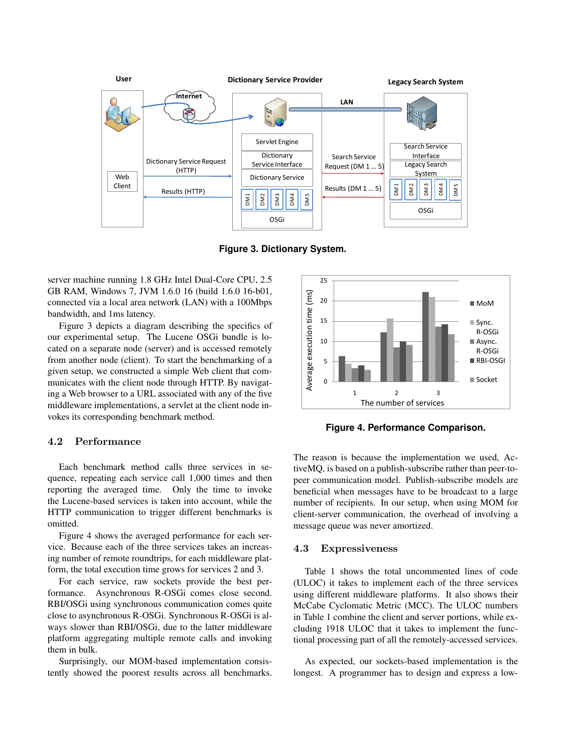

**Figure 3. Dictionary System.**

server machine running 1.8 GHz Intel Dual-Core CPU, 2.5 GB RAM, Windows 7, JVM 1.6.0 16 (build 1.6.0 16-b01, connected via a local area network (LAN) with a 100Mbps bandwidth, and 1ms latency.

Figure 3 depicts a diagram describing the specifics of our experimental setup. The Lucene OSGi bundle is located on a separate node (server) and is accessed remotely from another node (client). To start the benchmarking of a given setup, we constructed a simple Web client that communicates with the client node through HTTP. By navigating a Web browser to a URL associated with any of the five middleware implementations, a servlet at the client node invokes its corresponding benchmark method.

### 4.2 Performance

Each benchmark method calls three services in sequence, repeating each service call 1,000 times and then reporting the averaged time. Only the time to invoke the Lucene-based services is taken into account, while the HTTP communication to trigger different benchmarks is omitted.

Figure 4 shows the averaged performance for each service. Because each of the three services takes an increasing number of remote roundtrips, for each middleware platform, the total execution time grows for services 2 and 3.

For each service, raw sockets provide the best performance. Asynchronous R-OSGi comes close second. RBI/OSGi using synchronous communication comes quite close to asynchronous R-OSGi. Synchronous R-OSGi is always slower than RBI/OSGi, due to the latter middleware platform aggregating multiple remote calls and invoking them in bulk.

Surprisingly, our MOM-based implementation consistently showed the poorest results across all benchmarks.



**Figure 4. Performance Comparison.**

The reason is because the implementation we used, ActiveMQ, is based on a publish-subscribe rather than peer-topeer communication model. Publish-subscribe models are beneficial when messages have to be broadcast to a large number of recipients. In our setup, when using MOM for client-server communication, the overhead of involving a message queue was never amortized.

#### 4.3 Expressiveness

Table 1 shows the total uncommented lines of code (ULOC) it takes to implement each of the three services using different middleware platforms. It also shows their McCabe Cyclomatic Metric (MCC). The ULOC numbers in Table 1 combine the client and server portions, while excluding 1918 ULOC that it takes to implement the functional processing part of all the remotely-accessed services.

As expected, our sockets-based implementation is the longest. A programmer has to design and express a low-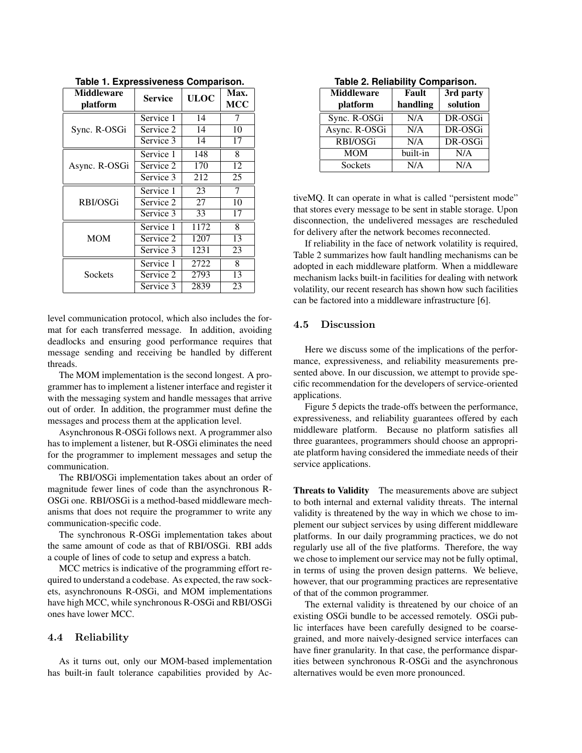| <b>Middleware</b><br>platform | <b>Service</b> | <b>ULOC</b> | Max.<br><b>MCC</b> |
|-------------------------------|----------------|-------------|--------------------|
| Sync. R-OSGi                  | Service 1      | 14          | 7                  |
|                               | Service 2      | 14          | 10                 |
|                               | Service 3      | 14          | 17                 |
| Async. R-OSGi                 | Service 1      | 148         | 8                  |
|                               | Service 2      | 170         | 12                 |
|                               | Service 3      | 212         | 25                 |
| RBI/OSGi                      | Service 1      | 23          | 7                  |
|                               | Service 2      | 27          | 10                 |
|                               | Service 3      | 33          | 17                 |
| <b>MOM</b>                    | Service 1      | 1172        | 8                  |
|                               | Service 2      | 1207        | 13                 |
|                               | Service 3      | 1231        | 23                 |
| Sockets                       | Service 1      | 2722        | 8                  |
|                               | Service 2      | 2793        | 13                 |
|                               | Service 3      | 2839        | 23                 |

**Table 1. Expressiveness Comparison.**

level communication protocol, which also includes the format for each transferred message. In addition, avoiding deadlocks and ensuring good performance requires that message sending and receiving be handled by different threads.

The MOM implementation is the second longest. A programmer has to implement a listener interface and register it with the messaging system and handle messages that arrive out of order. In addition, the programmer must define the messages and process them at the application level.

Asynchronous R-OSGi follows next. A programmer also has to implement a listener, but R-OSGi eliminates the need for the programmer to implement messages and setup the communication.

The RBI/OSGi implementation takes about an order of magnitude fewer lines of code than the asynchronous R-OSGi one. RBI/OSGi is a method-based middleware mechanisms that does not require the programmer to write any communication-specific code.

The synchronous R-OSGi implementation takes about the same amount of code as that of RBI/OSGi. RBI adds a couple of lines of code to setup and express a batch.

MCC metrics is indicative of the programming effort required to understand a codebase. As expected, the raw sockets, asynchronouns R-OSGi, and MOM implementations have high MCC, while synchronous R-OSGi and RBI/OSGi ones have lower MCC.

### 4.4 Reliability

As it turns out, only our MOM-based implementation has built-in fault tolerance capabilities provided by Ac-

| <b>Middleware</b> | Fault    | 3rd party |
|-------------------|----------|-----------|
| platform          | handling | solution  |
| Sync. R-OSGi      | N/A      | DR-OSGi   |
| Async. R-OSGi     | N/A      | DR-OSGi   |
| RBI/OSGi          | N/A      | DR-OSGi   |
| MOM               | built-in | N/A       |
| Sockets           | N/A      | N/A       |

**Table 2. Reliability Comparison.**

tiveMQ. It can operate in what is called "persistent mode" that stores every message to be sent in stable storage. Upon disconnection, the undelivered messages are rescheduled for delivery after the network becomes reconnected.

If reliability in the face of network volatility is required, Table 2 summarizes how fault handling mechanisms can be adopted in each middleware platform. When a middleware mechanism lacks built-in facilities for dealing with network volatility, our recent research has shown how such facilities can be factored into a middleware infrastructure [6].

### 4.5 Discussion

Here we discuss some of the implications of the performance, expressiveness, and reliability measurements presented above. In our discussion, we attempt to provide specific recommendation for the developers of service-oriented applications.

Figure 5 depicts the trade-offs between the performance, expressiveness, and reliability guarantees offered by each middleware platform. Because no platform satisfies all three guarantees, programmers should choose an appropriate platform having considered the immediate needs of their service applications.

Threats to Validity The measurements above are subject to both internal and external validity threats. The internal validity is threatened by the way in which we chose to implement our subject services by using different middleware platforms. In our daily programming practices, we do not regularly use all of the five platforms. Therefore, the way we chose to implement our service may not be fully optimal, in terms of using the proven design patterns. We believe, however, that our programming practices are representative of that of the common programmer.

The external validity is threatened by our choice of an existing OSGi bundle to be accessed remotely. OSGi public interfaces have been carefully designed to be coarsegrained, and more naively-designed service interfaces can have finer granularity. In that case, the performance disparities between synchronous R-OSGi and the asynchronous alternatives would be even more pronounced.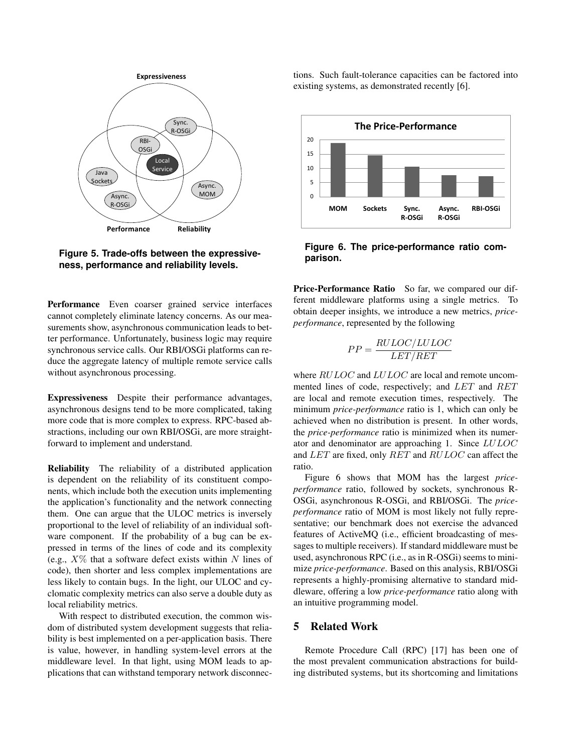

**Figure 5. Trade-offs between the expressiveness, performance and reliability levels.**

Performance Even coarser grained service interfaces cannot completely eliminate latency concerns. As our measurements show, asynchronous communication leads to better performance. Unfortunately, business logic may require synchronous service calls. Our RBI/OSGi platforms can reduce the aggregate latency of multiple remote service calls without asynchronous processing.

Expressiveness Despite their performance advantages, asynchronous designs tend to be more complicated, taking more code that is more complex to express. RPC-based abstractions, including our own RBI/OSGi, are more straightforward to implement and understand.

Reliability The reliability of a distributed application is dependent on the reliability of its constituent components, which include both the execution units implementing the application's functionality and the network connecting them. One can argue that the ULOC metrics is inversely proportional to the level of reliability of an individual software component. If the probability of a bug can be expressed in terms of the lines of code and its complexity (e.g.,  $X\%$  that a software defect exists within N lines of code), then shorter and less complex implementations are less likely to contain bugs. In the light, our ULOC and cyclomatic complexity metrics can also serve a double duty as local reliability metrics.

With respect to distributed execution, the common wisdom of distributed system development suggests that reliability is best implemented on a per-application basis. There is value, however, in handling system-level errors at the middleware level. In that light, using MOM leads to applications that can withstand temporary network disconnections. Such fault-tolerance capacities can be factored into existing systems, as demonstrated recently [6].



**Figure 6. The price-performance ratio comparison.**

Price-Performance Ratio So far, we compared our different middleware platforms using a single metrics. To obtain deeper insights, we introduce a new metrics, *priceperformance*, represented by the following

$$
PP = \frac{RULOC/LULOC}{LET/RET}
$$

where  $RULOC$  and  $LULOC$  are local and remote uncommented lines of code, respectively; and LET and RET are local and remote execution times, respectively. The minimum *price-performance* ratio is 1, which can only be achieved when no distribution is present. In other words, the *price-performance* ratio is minimized when its numerator and denominator are approaching 1. Since LULOC and LET are fixed, only RET and RULOC can affect the ratio.

Figure 6 shows that MOM has the largest *priceperformance* ratio, followed by sockets, synchronous R-OSGi, asynchronous R-OSGi, and RBI/OSGi. The *priceperformance* ratio of MOM is most likely not fully representative; our benchmark does not exercise the advanced features of ActiveMQ (i.e., efficient broadcasting of messages to multiple receivers). If standard middleware must be used, asynchronous RPC (i.e., as in R-OSGi) seems to minimize *price-performance*. Based on this analysis, RBI/OSGi represents a highly-promising alternative to standard middleware, offering a low *price-performance* ratio along with an intuitive programming model.

### 5 Related Work

Remote Procedure Call (RPC) [17] has been one of the most prevalent communication abstractions for building distributed systems, but its shortcoming and limitations